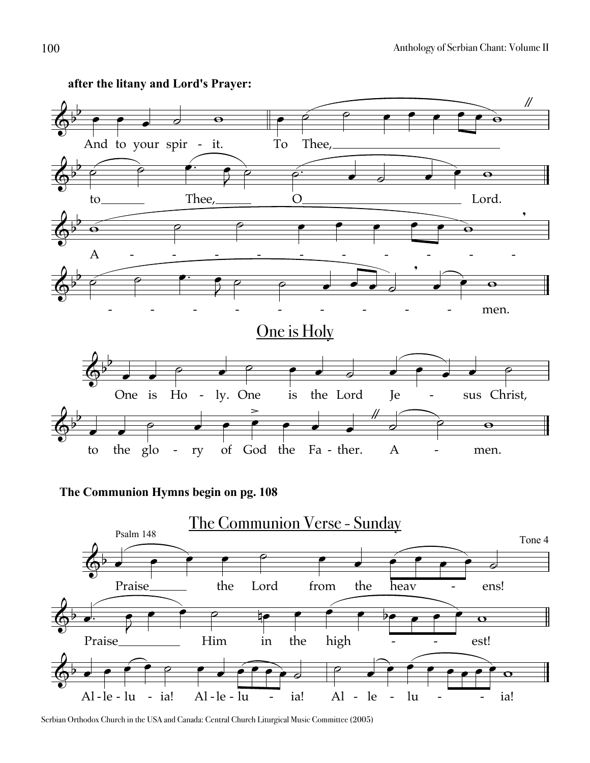

## **after the litany and Lord's Prayer:**

**The Communion Hymns begin on pg. 108**



Serbian Orthodox Church in the USA and Canada: Central Church Liturgical Music Committee (2005)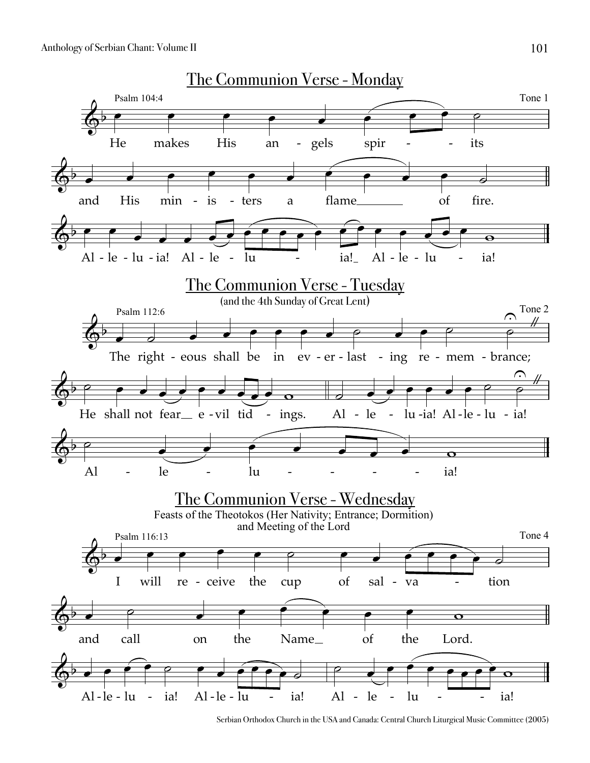

Serbian Orthodox Church in the USA and Canada: Central Church Liturgical Music Committee (2005)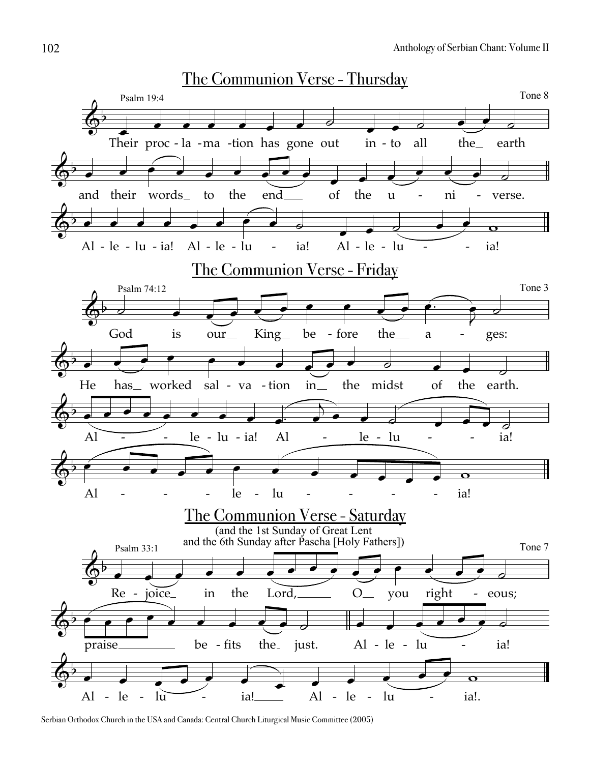

Serbian Orthodox Church in the USA and Canada: Central Church Liturgical Music Committee (2005)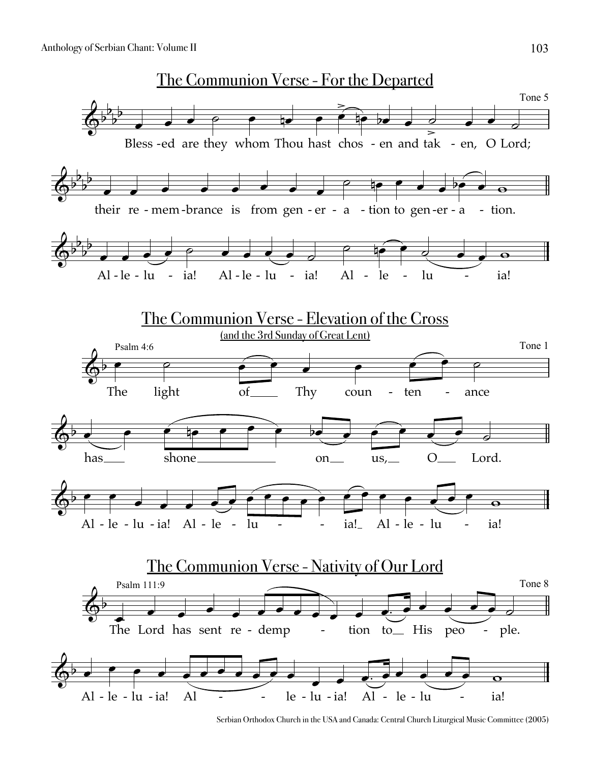

Serbian Orthodox Church in the USA and Canada: Central Church Liturgical Music Committee (2005)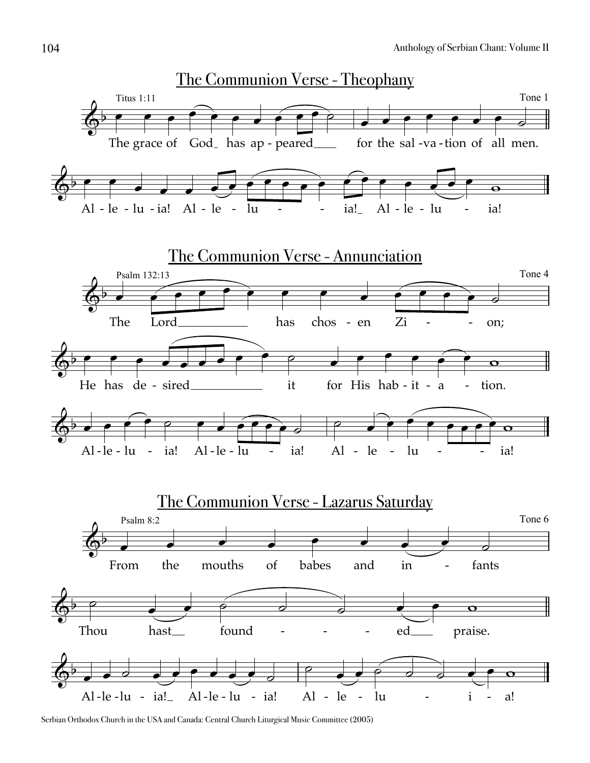

Serbian Orthodox Church in the USA and Canada: Central Church Liturgical Music Committee (2005)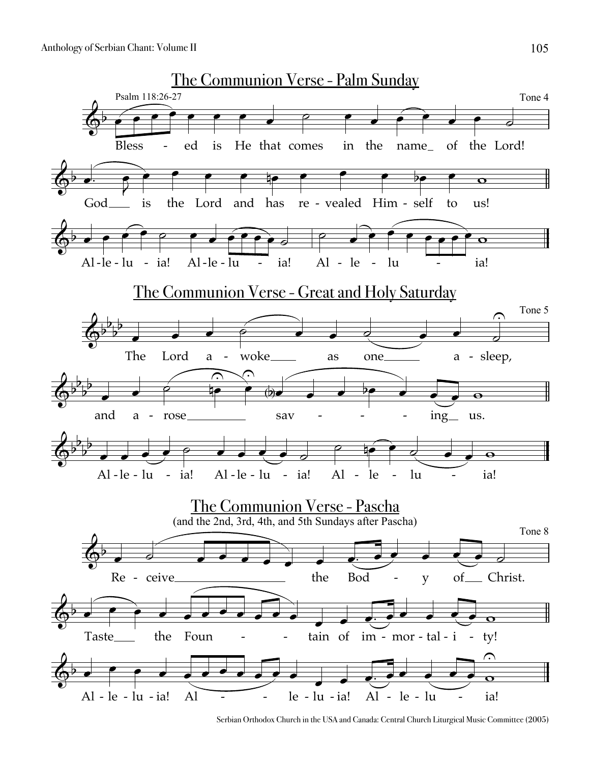Anthology of Serbian Chant: Volume II



Serbian Orthodox Church in the USA and Canada: Central Church Liturgical Music Committee (2005)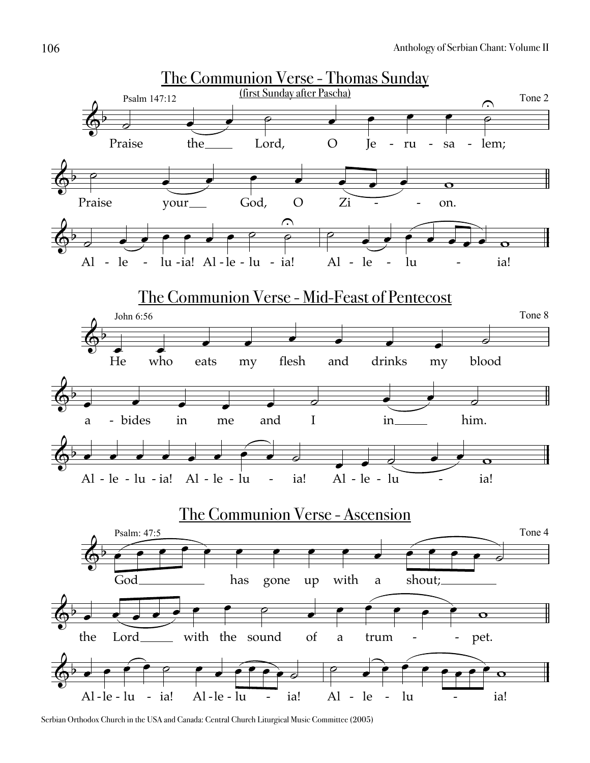

Serbian Orthodox Church in the USA and Canada: Central Church Liturgical Music Committee (2005)